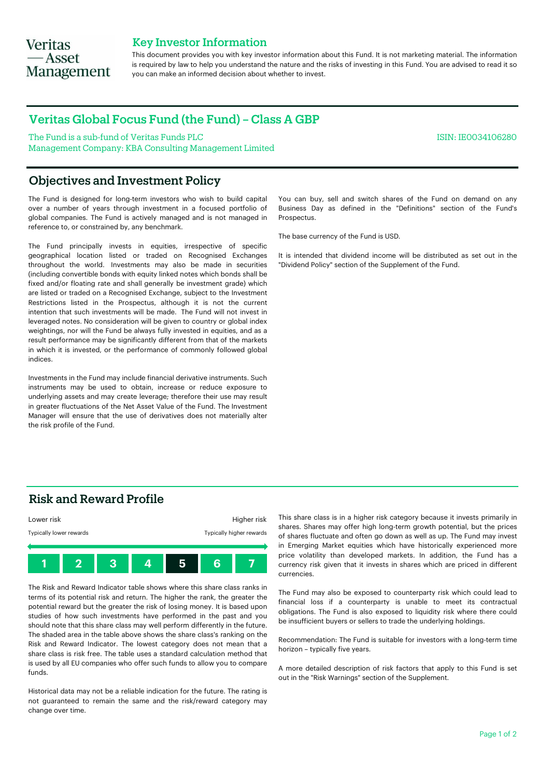## **Veritas** — Asset **Management**

### Key Investor Information

This document provides you with key investor information about this Fund. It is not marketing material. The information is required by law to help you understand the nature and the risks of investing in this Fund. You are advised to read it so you can make an informed decision about whether to invest.

## Veritas Global Focus Fund (the Fund) – Class A GBP

The Fund is a sub-fund of Veritas Funds PLC Management Company: KBA Consulting Management Limited

## Objectives and Investment Policy

The Fund is designed for long-term investors who wish to build capital over a number of years through investment in a focused portfolio of global companies. The Fund is actively managed and is not managed in reference to, or constrained by, any benchmark.

The Fund principally invests in equities, irrespective of specific geographical location listed or traded on Recognised Exchanges throughout the world. Investments may also be made in securities (including convertible bonds with equity linked notes which bonds shall be fixed and/or floating rate and shall generally be investment grade) which are listed or traded on a Recognised Exchange, subject to the Investment Restrictions listed in the Prospectus, although it is not the current intention that such investments will be made. The Fund will not invest in leveraged notes. No consideration will be given to country or global index weightings, nor will the Fund be always fully invested in equities, and as a result performance may be significantly different from that of the markets in which it is invested, or the performance of commonly followed global indices.

Investments in the Fund may include financial derivative instruments. Such instruments may be used to obtain, increase or reduce exposure to underlying assets and may create leverage; therefore their use may result in greater fluctuations of the Net Asset Value of the Fund. The Investment Manager will ensure that the use of derivatives does not materially alter the risk profile of the Fund.

You can buy, sell and switch shares of the Fund on demand on any Business Day as defined in the "Definitions" section of the Fund's Prospectus.

ISIN: IE0034106280

The base currency of the Fund is USD.

It is intended that dividend income will be distributed as set out in the "Dividend Policy" section of the Supplement of the Fund.

### Risk and Reward Profile



The Risk and Reward Indicator table shows where this share class ranks in terms of its potential risk and return. The higher the rank, the greater the potential reward but the greater the risk of losing money. It is based upon studies of how such investments have performed in the past and you should note that this share class may well perform differently in the future. The shaded area in the table above shows the share class's ranking on the Risk and Reward Indicator. The lowest category does not mean that a share class is risk free. The table uses a standard calculation method that is used by all EU companies who offer such funds to allow you to compare funds.

Historical data may not be a reliable indication for the future. The rating is not guaranteed to remain the same and the risk/reward category may change over time.

This share class is in a higher risk category because it invests primarily in shares. Shares may offer high long-term growth potential, but the prices of shares fluctuate and often go down as well as up. The Fund may invest in Emerging Market equities which have historically experienced more price volatility than developed markets. In addition, the Fund has a currency risk given that it invests in shares which are priced in different currencies.

The Fund may also be exposed to counterparty risk which could lead to financial loss if a counterparty is unable to meet its contractual obligations. The Fund is also exposed to liquidity risk where there could be insufficient buyers or sellers to trade the underlying holdings.

Recommendation: The Fund is suitable for investors with a long-term time horizon – typically five years.

A more detailed description of risk factors that apply to this Fund is set out in the "Risk Warnings" section of the Supplement.